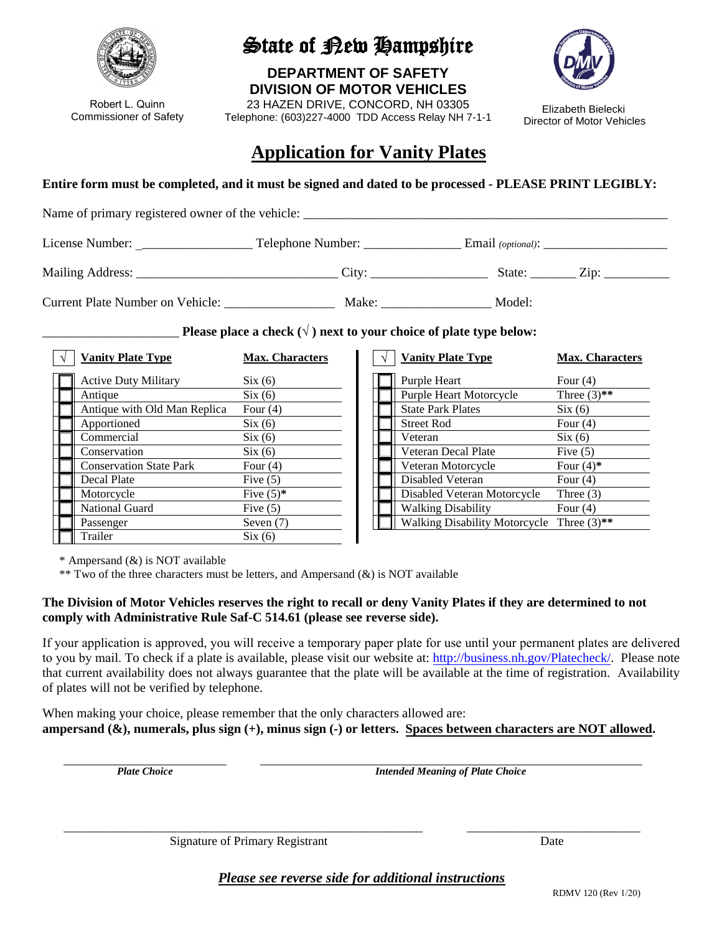

Robert L. Quinn Commissioner of Safety

# State of New Hampshire

**DEPARTMENT OF SAFETY DIVISION OF MOTOR VEHICLES**

23 HAZEN DRIVE, CONCORD, NH 03305 Telephone: (603)227-4000 TDD Access Relay NH 7-1-1



Elizabeth Bielecki Director of Motor Vehicles

## **Application for Vanity Plates**

**Entire form must be completed, and it must be signed and dated to be processed - PLEASE PRINT LEGIBLY:**

Name of primary registered owner of the vehicle: \_\_\_\_\_\_\_\_\_\_\_\_\_\_\_\_\_\_\_\_\_\_\_\_\_\_\_\_\_\_\_\_\_\_\_\_\_\_\_\_\_\_\_\_\_\_\_\_\_\_\_\_\_\_\_\_ License Number: \_\_\_\_\_\_\_\_\_\_\_\_\_\_\_\_\_\_ Telephone Number: \_\_\_\_\_\_\_\_\_\_\_\_\_\_\_ Email *(optional)*: \_\_\_\_\_\_\_\_\_\_\_\_\_\_\_\_\_\_\_ Mailing Address: \_\_\_\_\_\_\_\_\_\_\_\_\_\_\_\_\_\_\_\_\_\_\_\_\_\_\_\_\_\_\_ City: \_\_\_\_\_\_\_\_\_\_\_\_\_\_\_\_\_\_ State: \_\_\_\_\_\_\_ Zip: \_\_\_\_\_\_\_\_\_\_ Current Plate Number on Vehicle: \_\_\_\_\_\_\_\_\_\_\_\_\_\_\_\_\_ Make: \_\_\_\_\_\_\_\_\_\_\_\_\_\_\_\_\_ Model:

Please place a check  $(\sqrt{})$  next to your choice of plate type below:

| <b>Vanity Plate Type</b>       | <b>Max. Characters</b> | <b>Vanity Plate Type</b>             | <b>Max. Characters</b> |
|--------------------------------|------------------------|--------------------------------------|------------------------|
| <b>Active Duty Military</b>    | Six(6)                 | Purple Heart                         | Four $(4)$             |
| Antique                        | Six(6)                 | <b>Purple Heart Motorcycle</b>       | Three $(3)$ **         |
| Antique with Old Man Replica   | Four $(4)$             | <b>State Park Plates</b>             | Six(6)                 |
| Apportioned                    | Six(6)                 | <b>Street Rod</b>                    | Four $(4)$             |
| Commercial                     | Six(6)                 | Veteran                              | Six(6)                 |
| Conservation                   | Six(6)                 | Veteran Decal Plate                  | Five $(5)$             |
| <b>Conservation State Park</b> | Four $(4)$             | Veteran Motorcycle                   | Four $(4)$ *           |
| Decal Plate                    | Five $(5)$             | Disabled Veteran                     | Four $(4)$             |
| Motorcycle                     | Five $(5)$ *           | Disabled Veteran Motorcycle          | Three $(3)$            |
| National Guard                 | Five $(5)$             | <b>Walking Disability</b>            | Four $(4)$             |
| Passenger                      | Seven $(7)$            | <b>Walking Disability Motorcycle</b> | Three $(3)$ **         |
| Trailer                        | Six(6)                 |                                      |                        |

| <b>Vanity Plate Type</b>             | <b>Max. Characters</b> |
|--------------------------------------|------------------------|
| Purple Heart                         | Four $(4)$             |
| <b>Purple Heart Motorcycle</b>       | Three $(3)$ **         |
| <b>State Park Plates</b>             | Six(6)                 |
| <b>Street Rod</b>                    | Four $(4)$             |
| Veteran                              | Six(6)                 |
| Veteran Decal Plate                  | Five $(5)$             |
| Veteran Motorcycle                   | Four $(4)$ *           |
| Disabled Veteran                     | Four $(4)$             |
| Disabled Veteran Motorcycle          | Three $(3)$            |
| <b>Walking Disability</b>            | Four $(4)$             |
| <b>Walking Disability Motorcycle</b> | Three $(3)$ **         |

\* Ampersand (&) is NOT available

\*\* Two of the three characters must be letters, and Ampersand  $(\&)$  is NOT available

### **The Division of Motor Vehicles reserves the right to recall or deny Vanity Plates if they are determined to not comply with Administrative Rule Saf-C 514.61 (please see reverse side).**

If your application is approved, you will receive a temporary paper plate for use until your permanent plates are delivered to you by mail. To check if a plate is available, please visit our website at[: http://business.nh.gov/Platecheck/.](http://business.nh.gov/Platecheck/) Please note that current availability does not always guarantee that the plate will be available at the time of registration. Availability of plates will not be verified by telephone.

When making your choice, please remember that the only characters allowed are: **ampersand (&), numerals, plus sign (+), minus sign (-) or letters. Spaces between characters are NOT allowed.** 

*Plate Choice Intended Meaning of Plate Choice* 

Signature of Primary Registrant Date

*Please see reverse side for additional instructions*

\_\_\_\_\_\_\_\_\_\_\_\_\_\_\_\_\_\_\_\_\_\_\_\_\_\_\_\_\_\_\_\_\_\_\_\_\_\_\_\_\_\_\_\_\_\_\_\_\_\_\_\_\_\_\_\_\_\_ \_\_\_\_\_\_\_\_\_\_\_\_\_\_\_\_\_\_\_\_\_\_\_\_\_\_\_\_